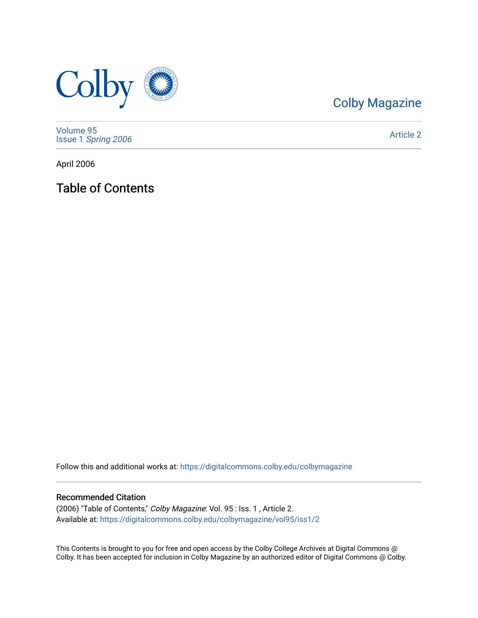

# [Colby Magazine](https://digitalcommons.colby.edu/colbymagazine)

[Volume 95](https://digitalcommons.colby.edu/colbymagazine/vol95) Issue 1 [Spring 2006](https://digitalcommons.colby.edu/colbymagazine/vol95/iss1) 

[Article 2](https://digitalcommons.colby.edu/colbymagazine/vol95/iss1/2) 

April 2006

Table of Contents

Follow this and additional works at: [https://digitalcommons.colby.edu/colbymagazine](https://digitalcommons.colby.edu/colbymagazine?utm_source=digitalcommons.colby.edu%2Fcolbymagazine%2Fvol95%2Fiss1%2F2&utm_medium=PDF&utm_campaign=PDFCoverPages)

# Recommended Citation

(2006) "Table of Contents," Colby Magazine: Vol. 95 : Iss. 1 , Article 2. Available at: [https://digitalcommons.colby.edu/colbymagazine/vol95/iss1/2](https://digitalcommons.colby.edu/colbymagazine/vol95/iss1/2?utm_source=digitalcommons.colby.edu%2Fcolbymagazine%2Fvol95%2Fiss1%2F2&utm_medium=PDF&utm_campaign=PDFCoverPages)

This Contents is brought to you for free and open access by the Colby College Archives at Digital Commons @ Colby. It has been accepted for inclusion in Colby Magazine by an authorized editor of Digital Commons @ Colby.